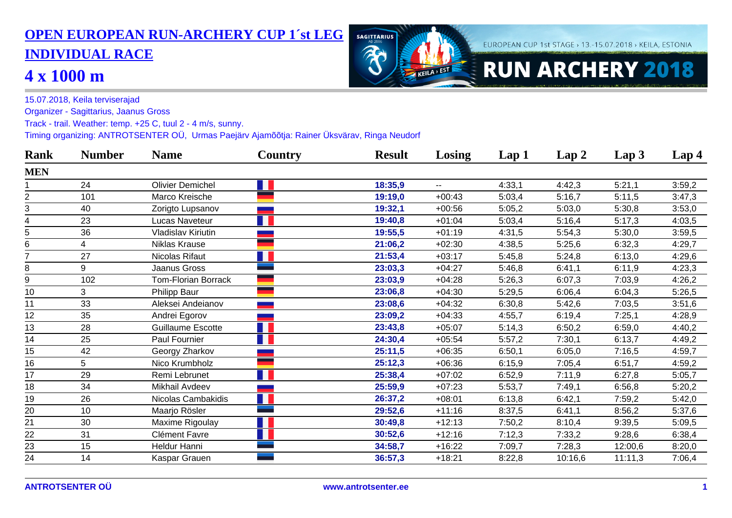## **OPEN EUROPEAN RUN-ARCHERY CUP 1´st LEG INDIVIDUAL RACE**

## **4 x 1000 m**



FUROPFAN CUP 1st STAGE > 13.-15.07.2018 > KFILA, ESTONIA

15.07.2018, Keila terviserajad

Organizer - Sagittarius, Jaanus Gross

Track - trail. Weather: temp. +25 C, tuul 2 - 4 m/s, sunny.

Timing organizing: ANTROTSENTER OÜ, Urmas Paejärv Ajamõõtja: Rainer Üksvärav, Ringa Neudorf

| <b>Rank</b>    | <b>Number</b> | <b>Name</b>                | Country | <b>Result</b> | Losing         | Lap 1  | Lap2    | Lap <sub>3</sub> | Lap <sub>4</sub> |
|----------------|---------------|----------------------------|---------|---------------|----------------|--------|---------|------------------|------------------|
| <b>MEN</b>     |               |                            |         |               |                |        |         |                  |                  |
|                | 24            | <b>Olivier Demichel</b>    |         | 18:35,9       | $\overline{a}$ | 4:33,1 | 4:42,3  | 5:21,1           | 3:59,2           |
| $\overline{2}$ | 101           | Marco Kreische             |         | 19:19,0       | $+00:43$       | 5:03,4 | 5:16,7  | 5:11,5           | 3:47,3           |
| 3              | 40            | Zorigto Lupsanov           |         | 19:32,1       | $+00:56$       | 5:05,2 | 5:03,0  | 5:30,8           | 3:53,0           |
| 4              | 23            | <b>Lucas Naveteur</b>      |         | 19:40,8       | $+01:04$       | 5:03,4 | 5:16,4  | 5:17,3           | 4:03,5           |
| 5              | 36            | Vladislav Kiriutin         |         | 19:55,5       | $+01:19$       | 4:31,5 | 5:54,3  | 5:30,0           | 3:59,5           |
| 6              | 4             | Niklas Krause              |         | 21:06,2       | $+02:30$       | 4:38,5 | 5:25,6  | 6:32,3           | 4:29,7           |
| 7              | 27            | Nicolas Rifaut             |         | 21:53,4       | $+03:17$       | 5:45,8 | 5:24,8  | 6:13,0           | 4:29,6           |
| 8              | 9             | Jaanus Gross               |         | 23:03,3       | $+04:27$       | 5:46,8 | 6:41,1  | 6:11,9           | 4:23,3           |
| 9              | 102           | <b>Tom-Florian Borrack</b> |         | 23:03,9       | $+04:28$       | 5:26,3 | 6:07,3  | 7:03,9           | 4:26,2           |
| 10             | 3             | Philipp Baur               |         | 23:06,8       | $+04:30$       | 5:29,5 | 6:06,4  | 6:04,3           | 5:26,5           |
| 11             | 33            | Aleksei Andeianov          |         | 23:08,6       | $+04:32$       | 6:30,8 | 5:42,6  | 7:03,5           | 3:51,6           |
| 12             | 35            | Andrei Egorov              |         | 23:09,2       | $+04:33$       | 4:55,7 | 6:19,4  | 7:25,1           | 4:28,9           |
| 13             | 28            | <b>Guillaume Escotte</b>   |         | 23:43,8       | $+05:07$       | 5:14,3 | 6:50,2  | 6:59,0           | 4:40,2           |
| 14             | 25            | Paul Fournier              |         | 24:30,4       | $+05:54$       | 5:57,2 | 7:30,1  | 6:13,7           | 4:49,2           |
| 15             | 42            | Georgy Zharkov             |         | 25:11,5       | $+06:35$       | 6:50,1 | 6:05,0  | 7:16,5           | 4:59,7           |
| 16             | 5             | Nico Krumbholz             |         | 25:12,3       | $+06:36$       | 6:15,9 | 7:05,4  | 6:51,7           | 4:59,2           |
| 17             | 29            | Remi Lebrunet              |         | 25:38,4       | $+07:02$       | 6:52,9 | 7:11,9  | 6:27,8           | 5:05,7           |
| 18             | 34            | Mikhail Avdeev             |         | 25:59,9       | $+07:23$       | 5:53,7 | 7:49,1  | 6:56,8           | 5:20,2           |
| 19             | 26            | Nicolas Cambakidis         |         | 26:37,2       | $+08:01$       | 6:13,8 | 6:42,1  | 7:59,2           | 5:42,0           |
| 20             | 10            | Maarjo Rösler              |         | 29:52,6       | $+11:16$       | 8:37,5 | 6:41,1  | 8:56,2           | 5:37,6           |
| 21             | 30            | Maxime Rigoulay            |         | 30:49,8       | $+12:13$       | 7:50,2 | 8:10,4  | 9:39,5           | 5:09,5           |
| 22             | 31            | Clément Favre              |         | 30:52,6       | $+12:16$       | 7:12,3 | 7:33,2  | 9:28,6           | 6:38,4           |
| 23             | 15            | Heldur Hanni               |         | 34:58,7       | $+16:22$       | 7:09,7 | 7:28,3  | 12:00,6          | 8:20,0           |
| 24             | 14            | Kaspar Grauen              |         | 36:57,3       | $+18:21$       | 8:22,8 | 10:16,6 | 11:11,3          | 7:06,4           |